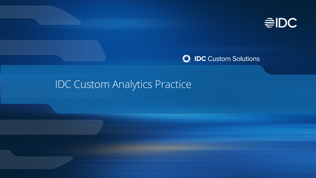

#### **C** IDC Custom Solutions

## IDC Custom Analytics Practice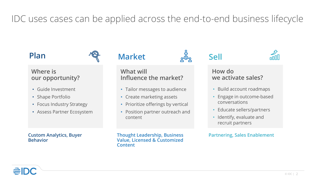IDC uses cases can be applied across the end-to-end business lifecycle

#### **Where is our opportunity?**

- Guide Investment
- Shape Portfolio
- Focus Industry Strategy
- Assess Partner Ecosystem

#### **Custom Analytics, Buyer Behavior**

#### Plan <del>Market</del>  $\frac{1}{2}$  Sell

**What will Influence the market?**

- Tailor messages to audience
- Create marketing assets
- Prioritize offerings by vertical
- Position partner outreach and content

**Thought Leadership, Business Value, Licensed & Customized Content**





#### **How do we activate sales?**

- Build account roadmaps
- Engage in outcome-based conversations
- Educate sellers/partners
- Identify, evaluate and recruit partners

#### **Partnering, Sales Enablement**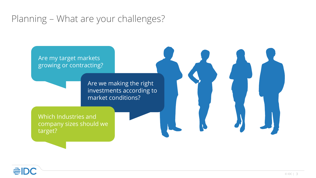### Planning – What are your challenges?

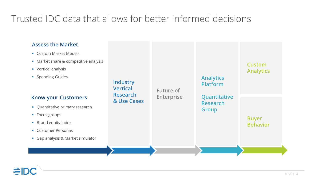### Trusted IDC data that allows for better informed decisions

#### **Assess the Market**

- **Custom Market Models**
- **Market share & competitive analysis**
- **•** Vertical analysis
- **Spending Guides**

#### **Know your Customers**

- Quantitative primary research
- **Focus groups**
- **Brand equity index**
- **Customer Personas**
- Gap analysis & Market simulator

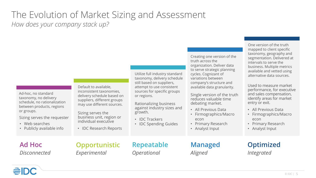### The Evolution of Market Sizing and Assessment *How does your company stack up?*

Ad-hoc, no standard taxonomy, no delivery schedule, no rationalization between products, regions or groups.

Sizing serves the requester

- Web searches
- Publicly available info

Default to available, inconsistent taxonomies, delivery schedule based on suppliers, different groups may use different sources.

Sizing serves the business unit, region or individual executive

• IDC Research Reports

Utilize full industry standard taxonomy, delivery schedule still based on suppliers, attempt to use consistent sources for specific groups or regions.

Rationalizing business against industry sizes and growth.

- IDC Trackers
- IDC Spending Guides

Creating one version of the truth across the organization. Deliver data to serve strategic planning cycles. Cognizant of variations between company's structure and available data granularity.

Single version of the truth reduces valuable time debating market.

- All Previous Data
- Firmographics/Macro econ
- Primary Research
- Analyst Input

One version of the truth mapped to client specific taxonomy, geography and segmentation. Delivered at intervals to serve the business. Multiple metrics available and vetted using alternative data sources.

Used to measure market performance, for executive and sales compensation, identify areas for market entry or exit.

- All Previous Data
- Firmographics/Macro econ
- Primary Research
- Analyst Input

**Ad Hoc** *Disconnected* **Opportunistic** *Experimental*

**Repeatable** *Operational*

**Managed** *Aligned*

#### **Optimized** *Integrated*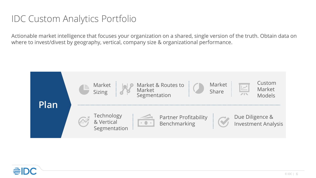### IDC Custom Analytics Portfolio

Actionable market intelligence that focuses your organization on a shared, single version of the truth. Obtain data on where to invest/divest by geography, vertical, company size & organizational performance.



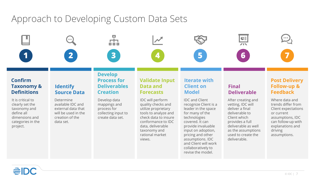### Approach to Developing Custom Data Sets

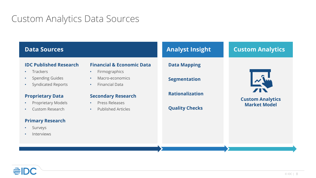### Custom Analytics Data Sources

#### **IDC Published Research** • Trackers • Spending Guides • Syndicated Reports **Proprietary Data** • Proprietary Models • Custom Research **Primary Research** • Surveys • Interviews **Financial & Economic Data** • Firmographics • Macro-economics • Financial Data **Secondary Research** • Press Releases • Published Articles **Data Sources Analyst Insight Analyst Insight Custom Analytics Data Mapping Segmentation Rationalization Quality Checks Custom Analytics Market Model**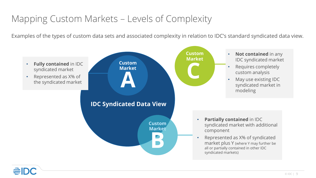### Mapping Custom Markets – Levels of Complexity

Examples of the types of custom data sets and associated complexity in relation to IDC's standard syndicated data view.

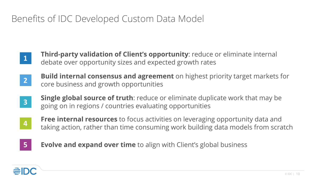### Benefits of IDC Developed Custom Data Model

- **1**
- **Third-party validation of Client's opportunity**: reduce or eliminate internal debate over opportunity sizes and expected growth rates
- **2 Build internal consensus and agreement** on highest priority target markets for core business and growth opportunities
- **3**
- **Single global source of truth**: reduce or eliminate duplicate work that may be going on in regions / countries evaluating opportunities



**Free internal resources** to focus activities on leveraging opportunity data and taking action, rather than time consuming work building data models from scratch



**Evolve and expand over time** to align with Client's global business